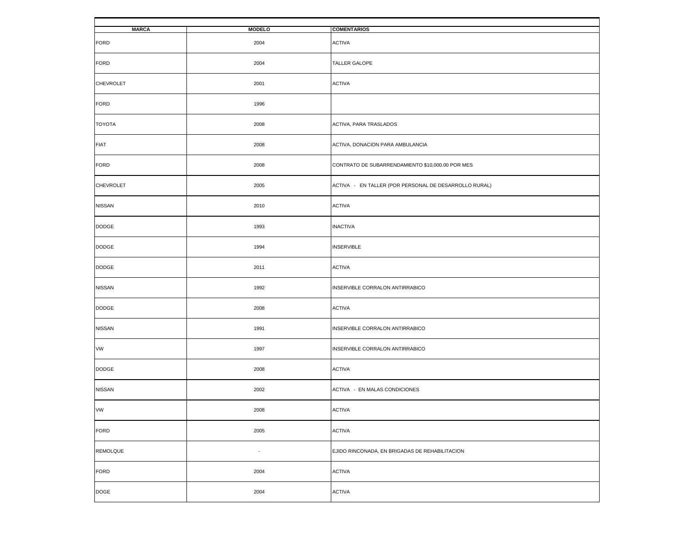| <b>MARCA</b>     | <b>MODELO</b>  | <b>COMENTARIOS</b>                                    |
|------------------|----------------|-------------------------------------------------------|
| <b>FORD</b>      | 2004           | <b>ACTIVA</b>                                         |
| <b>FORD</b>      | 2004           | TALLER GALOPE                                         |
| <b>CHEVROLET</b> | 2001           | <b>ACTIVA</b>                                         |
| <b>FORD</b>      | 1996           |                                                       |
| TOYOTA           | 2008           | ACTIVA, PARA TRASLADOS                                |
| <b>FIAT</b>      | 2008           | ACTIVA, DONACION PARA AMBULANCIA                      |
| <b>FORD</b>      | 2008           | CONTRATO DE SUBARRENDAMIENTO \$10,000.00 POR MES      |
| CHEVROLET        | 2005           | ACTIVA - EN TALLER (POR PERSONAL DE DESARROLLO RURAL) |
| <b>NISSAN</b>    | 2010           | <b>ACTIVA</b>                                         |
| <b>DODGE</b>     | 1993           | <b>INACTIVA</b>                                       |
| <b>DODGE</b>     | 1994           | <b>INSERVIBLE</b>                                     |
| <b>DODGE</b>     | 2011           | <b>ACTIVA</b>                                         |
| <b>NISSAN</b>    | 1992           | INSERVIBLE CORRALON ANTIRRABICO                       |
| <b>DODGE</b>     | 2008           | <b>ACTIVA</b>                                         |
| <b>NISSAN</b>    | 1991           | INSERVIBLE CORRALON ANTIRRABICO                       |
| VW               | 1997           | INSERVIBLE CORRALON ANTIRRABICO                       |
| <b>DODGE</b>     | 2008           | <b>ACTIVA</b>                                         |
| <b>NISSAN</b>    | 2002           | ACTIVA - EN MALAS CONDICIONES                         |
| VW               | 2008           | <b>ACTIVA</b>                                         |
| <b>FORD</b>      | 2005           | <b>ACTIVA</b>                                         |
| <b>REMOLQUE</b>  | $\blacksquare$ | EJIDO RINCONADA, EN BRIGADAS DE REHABILITACION        |
| <b>FORD</b>      | 2004           | <b>ACTIVA</b>                                         |
| <b>DOGE</b>      | 2004           | <b>ACTIVA</b>                                         |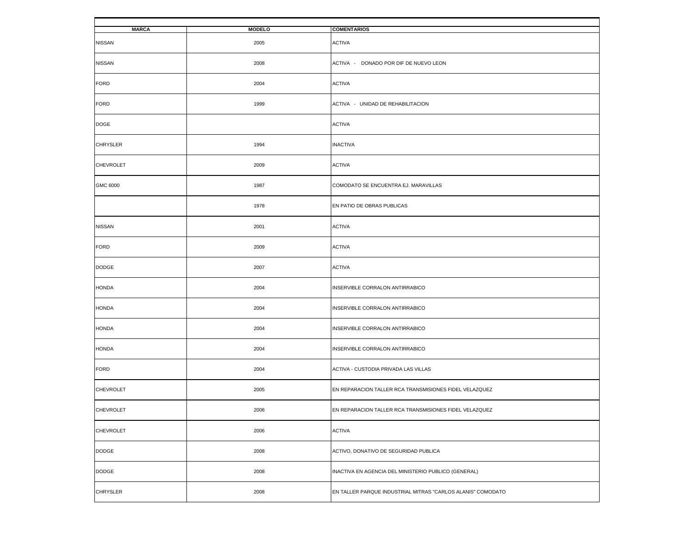| <b>MARCA</b>     | <b>MODELO</b> | <b>COMENTARIOS</b>                                          |
|------------------|---------------|-------------------------------------------------------------|
| <b>NISSAN</b>    | 2005          | <b>ACTIVA</b>                                               |
| <b>NISSAN</b>    | 2008          | ACTIVA - DONADO POR DIF DE NUEVO LEON                       |
| <b>FORD</b>      | 2004          | <b>ACTIVA</b>                                               |
| <b>FORD</b>      | 1999          | ACTIVA - UNIDAD DE REHABILITACION                           |
| <b>DOGE</b>      |               | <b>ACTIVA</b>                                               |
| <b>CHRYSLER</b>  | 1994          | <b>INACTIVA</b>                                             |
| <b>CHEVROLET</b> | 2009          | <b>ACTIVA</b>                                               |
| GMC 6000         | 1987          | COMODATO SE ENCUENTRA EJ. MARAVILLAS                        |
|                  | 1978          | EN PATIO DE OBRAS PUBLICAS                                  |
| <b>NISSAN</b>    | 2001          | <b>ACTIVA</b>                                               |
| <b>FORD</b>      | 2009          | <b>ACTIVA</b>                                               |
| <b>DODGE</b>     | 2007          | <b>ACTIVA</b>                                               |
| <b>HONDA</b>     | 2004          | INSERVIBLE CORRALON ANTIRRABICO                             |
| <b>HONDA</b>     | 2004          | INSERVIBLE CORRALON ANTIRRABICO                             |
| <b>HONDA</b>     | 2004          | INSERVIBLE CORRALON ANTIRRABICO                             |
| <b>HONDA</b>     | 2004          | INSERVIBLE CORRALON ANTIRRABICO                             |
| <b>FORD</b>      | 2004          | ACTIVA - CUSTODIA PRIVADA LAS VILLAS                        |
| <b>CHEVROLET</b> | 2005          | EN REPARACION TALLER RCA TRANSMISIONES FIDEL VELAZQUEZ      |
| <b>CHEVROLET</b> | 2006          | EN REPARACION TALLER RCA TRANSMISIONES FIDEL VELAZQUEZ      |
| CHEVROLET        | 2006          | <b>ACTIVA</b>                                               |
| <b>DODGE</b>     | 2008          | ACTIVO, DONATIVO DE SEGURIDAD PUBLICA                       |
| <b>DODGE</b>     | 2008          | INACTIVA EN AGENCIA DEL MINISTERIO PUBLICO (GENERAL)        |
| <b>CHRYSLER</b>  | 2008          | EN TALLER PARQUE INDUSTRIAL MITRAS "CARLOS ALANIS" COMODATO |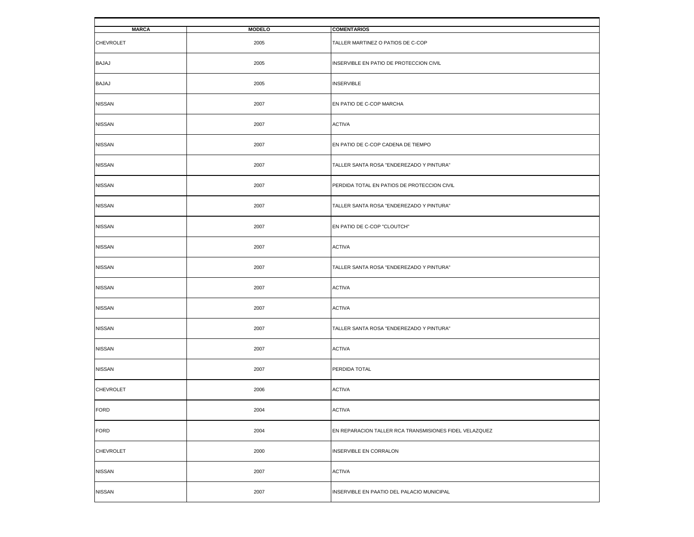| <b>MARCA</b>     | <b>MODELO</b> | <b>COMENTARIOS</b>                                     |
|------------------|---------------|--------------------------------------------------------|
|                  |               |                                                        |
| <b>CHEVROLET</b> | 2005          | TALLER MARTINEZ O PATIOS DE C-COP                      |
|                  |               |                                                        |
| <b>BAJAJ</b>     | 2005          | INSERVIBLE EN PATIO DE PROTECCION CIVIL                |
|                  |               |                                                        |
| <b>BAJAJ</b>     | 2005          | <b>INSERVIBLE</b>                                      |
|                  |               |                                                        |
| <b>NISSAN</b>    | 2007          | EN PATIO DE C-COP MARCHA                               |
|                  |               |                                                        |
| <b>NISSAN</b>    | 2007          | <b>ACTIVA</b>                                          |
|                  |               |                                                        |
| <b>NISSAN</b>    | 2007          | EN PATIO DE C-COP CADENA DE TIEMPO                     |
|                  |               |                                                        |
| <b>NISSAN</b>    | 2007          | TALLER SANTA ROSA "ENDEREZADO Y PINTURA"               |
|                  |               |                                                        |
| <b>NISSAN</b>    | 2007          | PERDIDA TOTAL EN PATIOS DE PROTECCION CIVIL            |
|                  |               |                                                        |
| <b>NISSAN</b>    | 2007          | TALLER SANTA ROSA "ENDEREZADO Y PINTURA"               |
|                  |               |                                                        |
| <b>NISSAN</b>    | 2007          | EN PATIO DE C-COP "CLOUTCH"                            |
|                  |               |                                                        |
| <b>NISSAN</b>    | 2007          | <b>ACTIVA</b>                                          |
|                  |               |                                                        |
| <b>NISSAN</b>    | 2007          | TALLER SANTA ROSA "ENDEREZADO Y PINTURA"               |
|                  |               |                                                        |
| <b>NISSAN</b>    | 2007          | <b>ACTIVA</b>                                          |
|                  |               |                                                        |
| <b>NISSAN</b>    | 2007          | <b>ACTIVA</b>                                          |
|                  |               |                                                        |
| <b>NISSAN</b>    | 2007          | TALLER SANTA ROSA "ENDEREZADO Y PINTURA"               |
|                  |               |                                                        |
| <b>NISSAN</b>    | 2007          | <b>ACTIVA</b>                                          |
|                  |               |                                                        |
| <b>NISSAN</b>    | 2007          | PERDIDA TOTAL                                          |
|                  |               |                                                        |
| <b>CHEVROLET</b> | 2006          | <b>ACTIVA</b>                                          |
|                  |               |                                                        |
| <b>FORD</b>      | 2004          | <b>ACTIVA</b>                                          |
|                  |               |                                                        |
| <b>FORD</b>      | 2004          | EN REPARACION TALLER RCA TRANSMISIONES FIDEL VELAZQUEZ |
|                  |               |                                                        |
| <b>CHEVROLET</b> | 2000          | INSERVIBLE EN CORRALON                                 |
|                  |               |                                                        |
| <b>NISSAN</b>    | 2007          | <b>ACTIVA</b>                                          |
|                  |               |                                                        |
| <b>NISSAN</b>    | 2007          | INSERVIBLE EN PAATIO DEL PALACIO MUNICIPAL             |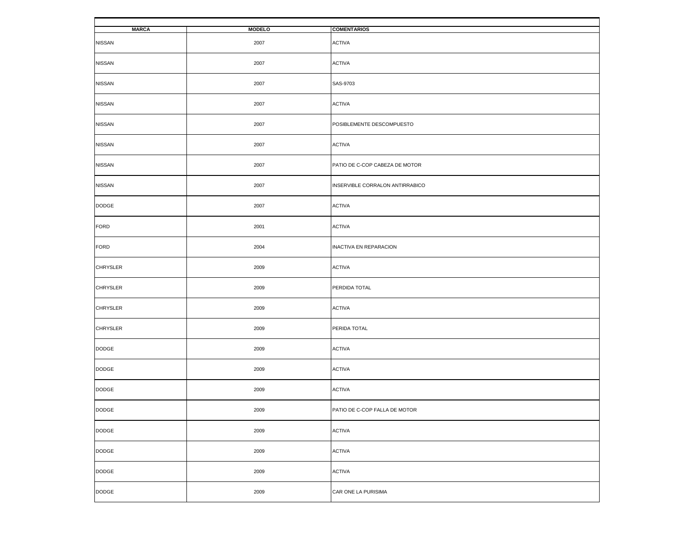| <b>MARCA</b>    | <b>MODELO</b> | <b>COMENTARIOS</b>              |
|-----------------|---------------|---------------------------------|
| <b>NISSAN</b>   | 2007          | <b>ACTIVA</b>                   |
| <b>NISSAN</b>   | 2007          | <b>ACTIVA</b>                   |
| <b>NISSAN</b>   | 2007          | SAS-9703                        |
| <b>NISSAN</b>   | 2007          | <b>ACTIVA</b>                   |
| <b>NISSAN</b>   | 2007          | POSIBLEMENTE DESCOMPUESTO       |
| <b>NISSAN</b>   | 2007          | <b>ACTIVA</b>                   |
| <b>NISSAN</b>   | 2007          | PATIO DE C-COP CABEZA DE MOTOR  |
| <b>NISSAN</b>   | 2007          | INSERVIBLE CORRALON ANTIRRABICO |
| <b>DODGE</b>    | 2007          | <b>ACTIVA</b>                   |
| <b>FORD</b>     | 2001          | <b>ACTIVA</b>                   |
| <b>FORD</b>     | 2004          | <b>INACTIVA EN REPARACION</b>   |
| <b>CHRYSLER</b> | 2009          | <b>ACTIVA</b>                   |
| <b>CHRYSLER</b> | 2009          | PERDIDA TOTAL                   |
| <b>CHRYSLER</b> | 2009          | <b>ACTIVA</b>                   |
| <b>CHRYSLER</b> | 2009          | PERIDA TOTAL                    |
| <b>DODGE</b>    | 2009          | <b>ACTIVA</b>                   |
| <b>DODGE</b>    | 2009          | <b>ACTIVA</b>                   |
| <b>DODGE</b>    | 2009          | <b>ACTIVA</b>                   |
| DODGE           | 2009          | PATIO DE C-COP FALLA DE MOTOR   |
| <b>DODGE</b>    | 2009          | <b>ACTIVA</b>                   |
| DODGE           | 2009          | <b>ACTIVA</b>                   |
| <b>DODGE</b>    | 2009          | <b>ACTIVA</b>                   |
| <b>DODGE</b>    | 2009          | CAR ONE LA PURISIMA             |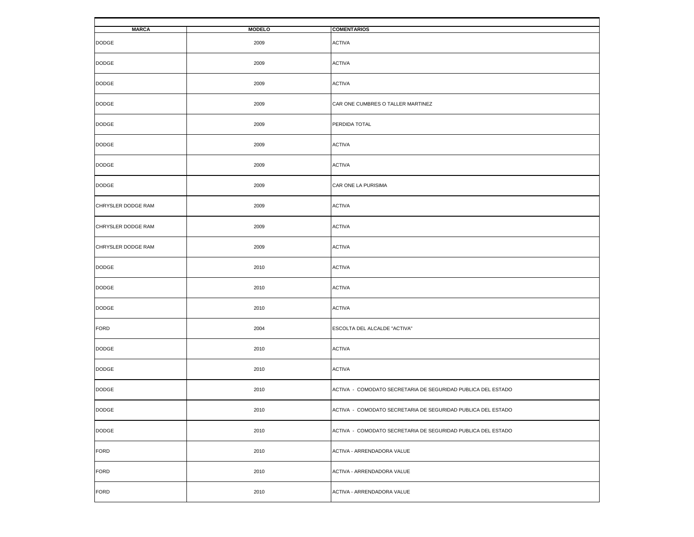| <b>MARCA</b>       | <b>MODELO</b> | <b>COMENTARIOS</b>                                           |
|--------------------|---------------|--------------------------------------------------------------|
| <b>DODGE</b>       | 2009          | <b>ACTIVA</b>                                                |
| <b>DODGE</b>       | 2009          | <b>ACTIVA</b>                                                |
| <b>DODGE</b>       | 2009          | <b>ACTIVA</b>                                                |
| <b>DODGE</b>       | 2009          | CAR ONE CUMBRES O TALLER MARTINEZ                            |
| <b>DODGE</b>       | 2009          | PERDIDA TOTAL                                                |
| <b>DODGE</b>       | 2009          | <b>ACTIVA</b>                                                |
| <b>DODGE</b>       | 2009          | <b>ACTIVA</b>                                                |
| DODGE              | 2009          | CAR ONE LA PURISIMA                                          |
| CHRYSLER DODGE RAM | 2009          | <b>ACTIVA</b>                                                |
| CHRYSLER DODGE RAM | 2009          | <b>ACTIVA</b>                                                |
| CHRYSLER DODGE RAM | 2009          | <b>ACTIVA</b>                                                |
| <b>DODGE</b>       | 2010          | <b>ACTIVA</b>                                                |
| DODGE              | 2010          | <b>ACTIVA</b>                                                |
| <b>DODGE</b>       | 2010          | <b>ACTIVA</b>                                                |
| FORD               | 2004          | ESCOLTA DEL ALCALDE "ACTIVA"                                 |
| <b>DODGE</b>       | 2010          | <b>ACTIVA</b>                                                |
| <b>DODGE</b>       | 2010          | <b>ACTIVA</b>                                                |
| <b>DODGE</b>       | 2010          | ACTIVA - COMODATO SECRETARIA DE SEGURIDAD PUBLICA DEL ESTADO |
| $\texttt{DODGE}$   | 2010          | ACTIVA - COMODATO SECRETARIA DE SEGURIDAD PUBLICA DEL ESTADO |
| <b>DODGE</b>       | 2010          | ACTIVA - COMODATO SECRETARIA DE SEGURIDAD PUBLICA DEL ESTADO |
| <b>FORD</b>        | 2010          | ACTIVA - ARRENDADORA VALUE                                   |
| <b>FORD</b>        | 2010          | ACTIVA - ARRENDADORA VALUE                                   |
| <b>FORD</b>        | 2010          | ACTIVA - ARRENDADORA VALUE                                   |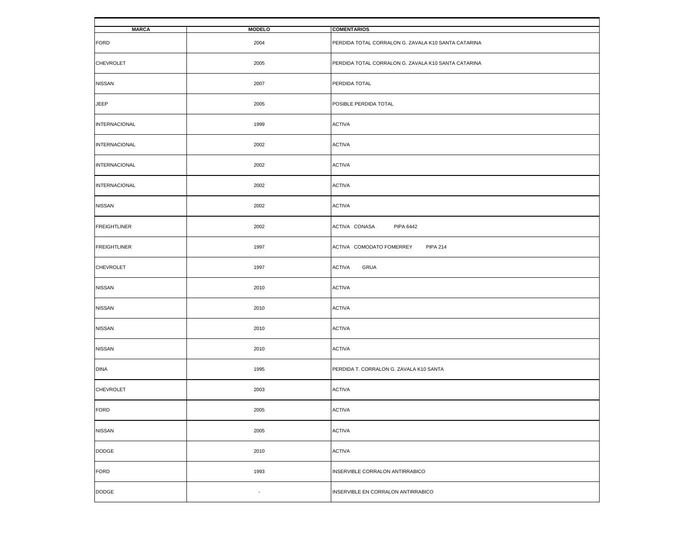| <b>MARCA</b>         | <b>MODELO</b>            | <b>COMENTARIOS</b>                                  |
|----------------------|--------------------------|-----------------------------------------------------|
| <b>FORD</b>          | 2004                     | PERDIDA TOTAL CORRALON G. ZAVALA K10 SANTA CATARINA |
| <b>CHEVROLET</b>     | 2005                     | PERDIDA TOTAL CORRALON G. ZAVALA K10 SANTA CATARINA |
| <b>NISSAN</b>        | 2007                     | PERDIDA TOTAL                                       |
| JEEP                 | 2005                     | POSIBLE PERDIDA TOTAL                               |
| INTERNACIONAL        | 1999                     | <b>ACTIVA</b>                                       |
| <b>INTERNACIONAL</b> | 2002                     | <b>ACTIVA</b>                                       |
| <b>INTERNACIONAL</b> | 2002                     | <b>ACTIVA</b>                                       |
| <b>INTERNACIONAL</b> | 2002                     | <b>ACTIVA</b>                                       |
| <b>NISSAN</b>        | 2002                     | <b>ACTIVA</b>                                       |
| <b>FREIGHTLINER</b>  | 2002                     | ACTIVA CONASA<br><b>PIPA 6442</b>                   |
| <b>FREIGHTLINER</b>  | 1997                     | ACTIVA COMODATO FOMERREY<br><b>PIPA 214</b>         |
| <b>CHEVROLET</b>     | 1997                     | <b>ACTIVA</b><br>GRUA                               |
| <b>NISSAN</b>        | 2010                     | <b>ACTIVA</b>                                       |
| <b>NISSAN</b>        | 2010                     | <b>ACTIVA</b>                                       |
| <b>NISSAN</b>        | 2010                     | <b>ACTIVA</b>                                       |
| <b>NISSAN</b>        | 2010                     | <b>ACTIVA</b>                                       |
| <b>DINA</b>          | 1995                     | PERDIDA T. CORRALON G. ZAVALA K10 SANTA             |
| <b>CHEVROLET</b>     | 2003                     | <b>ACTIVA</b>                                       |
| <b>FORD</b>          | 2005                     | <b>ACTIVA</b>                                       |
| <b>NISSAN</b>        | 2005                     | <b>ACTIVA</b>                                       |
| <b>DODGE</b>         | 2010                     | <b>ACTIVA</b>                                       |
| <b>FORD</b>          | 1993                     | INSERVIBLE CORRALON ANTIRRABICO                     |
| <b>DODGE</b>         | $\overline{\phantom{a}}$ | INSERVIBLE EN CORRALON ANTIRRABICO                  |